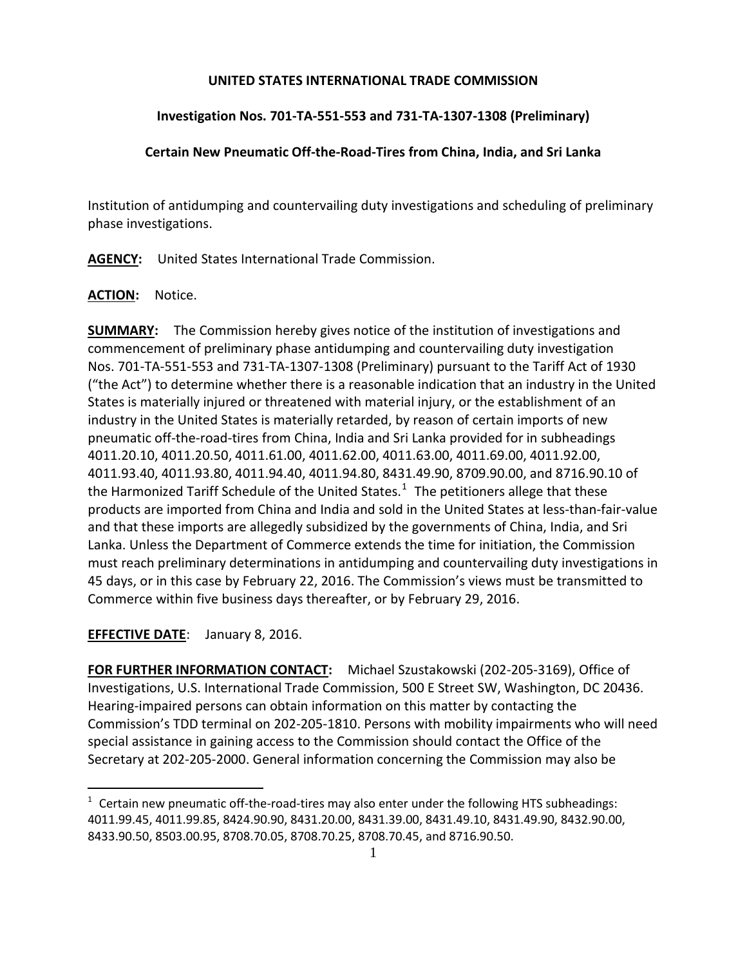### **UNITED STATES INTERNATIONAL TRADE COMMISSION**

# **Investigation Nos. 701-TA-551-553 and 731-TA-1307-1308 (Preliminary)**

# **Certain New Pneumatic Off-the-Road-Tires from China, India, and Sri Lanka**

Institution of antidumping and countervailing duty investigations and scheduling of preliminary phase investigations.

**AGENCY:** United States International Trade Commission.

## **ACTION:** Notice.

**SUMMARY:** The Commission hereby gives notice of the institution of investigations and commencement of preliminary phase antidumping and countervailing duty investigation Nos. 701-TA-551-553 and 731-TA-1307-1308 (Preliminary) pursuant to the Tariff Act of 1930 ("the Act") to determine whether there is a reasonable indication that an industry in the United States is materially injured or threatened with material injury, or the establishment of an industry in the United States is materially retarded, by reason of certain imports of new pneumatic off-the-road-tires from China, India and Sri Lanka provided for in subheadings 4011.20.10, 4011.20.50, 4011.61.00, 4011.62.00, 4011.63.00, 4011.69.00, 4011.92.00, 4011.93.40, 4011.93.80, 4011.94.40, 4011.94.80, 8431.49.90, 8709.90.00, and 8716.90.10 of the Harmonized Tariff Schedule of the United States.<sup>[1](#page-0-0)</sup> The petitioners allege that these products are imported from China and India and sold in the United States at less-than-fair-value and that these imports are allegedly subsidized by the governments of China, India, and Sri Lanka. Unless the Department of Commerce extends the time for initiation, the Commission must reach preliminary determinations in antidumping and countervailing duty investigations in 45 days, or in this case by February 22, 2016. The Commission's views must be transmitted to Commerce within five business days thereafter, or by February 29, 2016.

**EFFECTIVE DATE**: January 8, 2016.

 $\overline{a}$ 

**FOR FURTHER INFORMATION CONTACT:** Michael Szustakowski (202-205-3169), Office of Investigations, U.S. International Trade Commission, 500 E Street SW, Washington, DC 20436. Hearing-impaired persons can obtain information on this matter by contacting the Commission's TDD terminal on 202-205-1810. Persons with mobility impairments who will need special assistance in gaining access to the Commission should contact the Office of the Secretary at 202-205-2000. General information concerning the Commission may also be

<span id="page-0-0"></span> $1$  Certain new pneumatic off-the-road-tires may also enter under the following HTS subheadings: 4011.99.45, 4011.99.85, 8424.90.90, 8431.20.00, 8431.39.00, 8431.49.10, 8431.49.90, 8432.90.00, 8433.90.50, 8503.00.95, 8708.70.05, 8708.70.25, 8708.70.45, and 8716.90.50.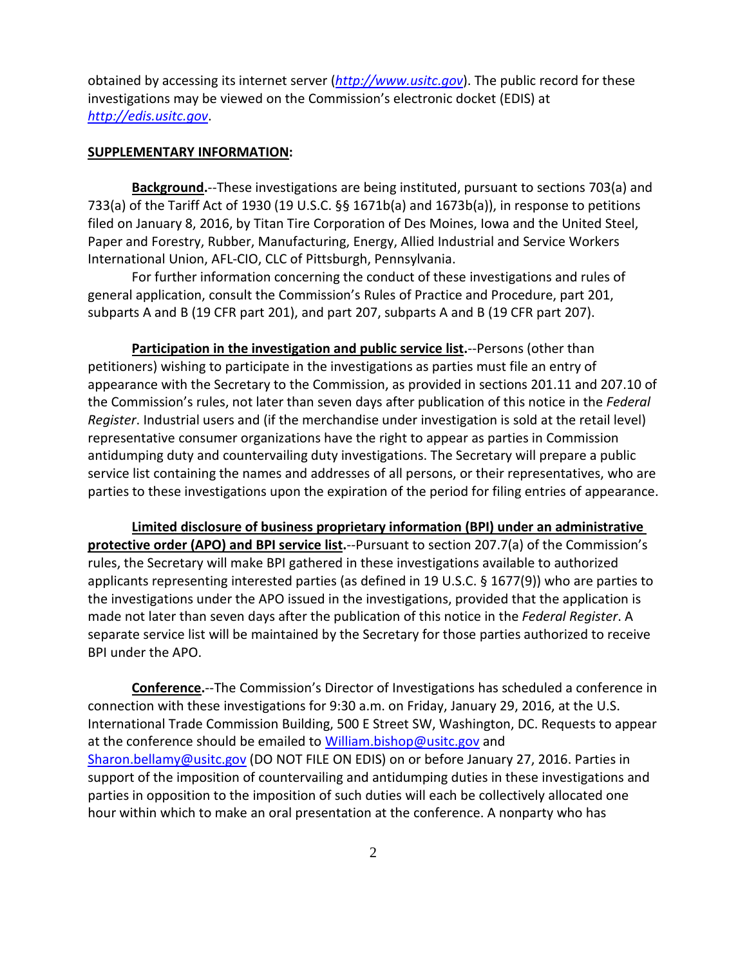obtained by accessing its internet server (*[http://www.usitc.gov](http://www.usitc.gov/)*). The public record for these investigations may be viewed on the Commission's electronic docket (EDIS) at *[http://edis.usitc.gov](http://edis.usitc.gov/)*.

#### **SUPPLEMENTARY INFORMATION:**

**Background.**--These investigations are being instituted, pursuant to sections 703(a) and 733(a) of the Tariff Act of 1930 (19 U.S.C. §§ 1671b(a) and 1673b(a)), in response to petitions filed on January 8, 2016, by Titan Tire Corporation of Des Moines, Iowa and the United Steel, Paper and Forestry, Rubber, Manufacturing, Energy, Allied Industrial and Service Workers International Union, AFL-CIO, CLC of Pittsburgh, Pennsylvania.

For further information concerning the conduct of these investigations and rules of general application, consult the Commission's Rules of Practice and Procedure, part 201, subparts A and B (19 CFR part 201), and part 207, subparts A and B (19 CFR part 207).

**Participation in the investigation and public service list.**--Persons (other than petitioners) wishing to participate in the investigations as parties must file an entry of appearance with the Secretary to the Commission, as provided in sections 201.11 and 207.10 of the Commission's rules, not later than seven days after publication of this notice in the *Federal Register*. Industrial users and (if the merchandise under investigation is sold at the retail level) representative consumer organizations have the right to appear as parties in Commission antidumping duty and countervailing duty investigations. The Secretary will prepare a public service list containing the names and addresses of all persons, or their representatives, who are parties to these investigations upon the expiration of the period for filing entries of appearance.

**Limited disclosure of business proprietary information (BPI) under an administrative protective order (APO) and BPI service list.**--Pursuant to section 207.7(a) of the Commission's rules, the Secretary will make BPI gathered in these investigations available to authorized applicants representing interested parties (as defined in 19 U.S.C. § 1677(9)) who are parties to the investigations under the APO issued in the investigations, provided that the application is made not later than seven days after the publication of this notice in the *Federal Register*. A separate service list will be maintained by the Secretary for those parties authorized to receive BPI under the APO.

**Conference.**--The Commission's Director of Investigations has scheduled a conference in connection with these investigations for 9:30 a.m. on Friday, January 29, 2016, at the U.S. International Trade Commission Building, 500 E Street SW, Washington, DC. Requests to appear at the conference should be emailed to [William.bishop@usitc.gov](mailto:William.bishop@usitc.gov) and [Sharon.bellamy@usitc.gov](mailto:Sharon.bellamy@usitc.gov)) (DO NOT FILE ON EDIS) on or before January 27, 2016. Parties in support of the imposition of countervailing and antidumping duties in these investigations and parties in opposition to the imposition of such duties will each be collectively allocated one hour within which to make an oral presentation at the conference. A nonparty who has